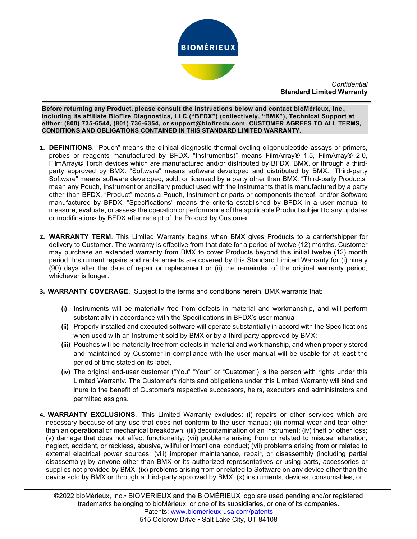

*Confidential* **Standard Limited Warranty**

\ **including its affiliate BioFire Diagnostics, LLC ("BFDX") (collectively, "BMX"), Technical Support at Before returning any Product, please consult the instructions below and contact bioMérieux, Inc., either: (800) 735-6544, (801) 736-6354, or support@biofiredx.com. CUSTOMER AGREES TO ALL TERMS, CONDITIONS AND OBLIGATIONS CONTAINED IN THIS STANDARD LIMITED WARRANTY.**

 $\overline{a}$ 

- **1. DEFINITIONS**. "Pouch" means the clinical diagnostic thermal cycling oligonucleotide assays or primers, probes or reagents manufactured by BFDX. "Instrument(s)" means FilmArray® 1.5, FilmArray® 2.0, FilmArray® Torch devices which are manufactured and/or distributed by BFDX, BMX, or through a thirdparty approved by BMX. "Software" means software developed and distributed by BMX. "Third-party Software" means software developed, sold, or licensed by a party other than BMX. "Third-party Products" mean any Pouch, Instrument or ancillary product used with the Instruments that is manufactured by a party other than BFDX. "Product" means a Pouch, Instrument or parts or components thereof, and/or Software manufactured by BFDX. "Specifications" means the criteria established by BFDX in a user manual to measure, evaluate, or assess the operation or performance of the applicable Product subject to any updates or modifications by BFDX after receipt of the Product by Customer.
- **2. WARRANTY TERM**. This Limited Warranty begins when BMX gives Products to a carrier/shipper for delivery to Customer. The warranty is effective from that date for a period of twelve (12) months. Customer may purchase an extended warranty from BMX to cover Products beyond this initial twelve (12) month period. Instrument repairs and replacements are covered by this Standard Limited Warranty for (i) ninety (90) days after the date of repair or replacement or (ii) the remainder of the original warranty period, whichever is longer.
- **3. WARRANTY COVERAGE**. Subject to the terms and conditions herein, BMX warrants that:
	- **(i)** Instruments will be materially free from defects in material and workmanship, and will perform substantially in accordance with the Specifications in BFDX's user manual;
	- **(ii)** Properly installed and executed software will operate substantially in accord with the Specifications when used with an Instrument sold by BMX or by a third-party approved by BMX;
	- **(iii)** Pouches will be materially free from defects in material and workmanship, and when properly stored and maintained by Customer in compliance with the user manual will be usable for at least the period of time stated on its label.
	- **(iv)** The original end-user customer ("You" "Your" or "Customer") is the person with rights under this Limited Warranty. The Customer's rights and obligations under this Limited Warranty will bind and inure to the benefit of Customer's respective successors, heirs, executors and administrators and permitted assigns.
- **4. WARRANTY EXCLUSIONS**. This Limited Warranty excludes: (i) repairs or other services which are necessary because of any use that does not conform to the user manual; (ii) normal wear and tear other than an operational or mechanical breakdown; (iii) decontamination of an Instrument; (iv) theft or other loss; (v) damage that does not affect functionality; (vii) problems arising from or related to misuse, alteration, neglect, accident, or reckless, abusive, willful or intentional conduct; (vii) problems arising from or related to external electrical power sources; (viii) improper maintenance, repair, or disassembly (including partial disassembly) by anyone other than BMX or its authorized representatives or using parts, accessories or supplies not provided by BMX; (ix) problems arising from or related to Software on any device other than the device sold by BMX or through a third-party approved by BMX; (x) instruments, devices, consumables, or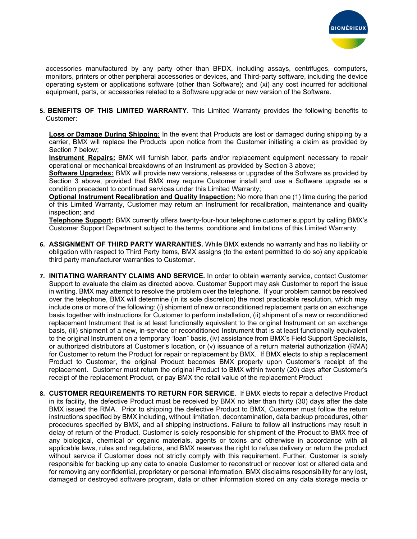

accessories manufactured by any party other than BFDX, including assays, centrifuges, computers, monitors, printers or other peripheral accessories or devices, and Third-party software, including the device operating system or applications software (other than Software); and (xi) any cost incurred for additional equipment, parts, or accessories related to a Software upgrade or new version of the Software.

**5. BENEFITS OF THIS LIMITED WARRANTY**. This Limited Warranty provides the following benefits to Customer:

**Loss or Damage During Shipping:** In the event that Products are lost or damaged during shipping by a carrier, BMX will replace the Products upon notice from the Customer initiating a claim as provided by Section 7 below;

**Instrument Repairs:** BMX will furnish labor, parts and/or replacement equipment necessary to repair operational or mechanical breakdowns of an Instrument as provided by Section 3 above;

**Software Upgrades:** BMX will provide new versions, releases or upgrades of the Software as provided by Section 3 above, provided that BMX may require Customer install and use a Software upgrade as a condition precedent to continued services under this Limited Warranty;

**Optional Instrument Recalibration and Quality Inspection:** No more than one (1) time during the period of this Limited Warranty, Customer may return an Instrument for recalibration, maintenance and quality inspection; and

**Telephone Support:** BMX currently offers twenty-four-hour telephone customer support by calling BMX's Customer Support Department subject to the terms, conditions and limitations of this Limited Warranty.

- **6. ASSIGNMENT OF THIRD PARTY WARRANTIES.** While BMX extends no warranty and has no liability or obligation with respect to Third Party Items, BMX assigns (to the extent permitted to do so) any applicable third party manufacturer warranties to Customer.
- **7. INITIATING WARRANTY CLAIMS AND SERVICE.** In order to obtain warranty service, contact Customer Support to evaluate the claim as directed above. Customer Support may ask Customer to report the issue in writing. BMX may attempt to resolve the problem over the telephone. If your problem cannot be resolved over the telephone, BMX will determine (in its sole discretion) the most practicable resolution, which may include one or more of the following: (i) shipment of new or reconditioned replacement parts on an exchange basis together with instructions for Customer to perform installation, (ii) shipment of a new or reconditioned replacement Instrument that is at least functionally equivalent to the original Instrument on an exchange basis, (iii) shipment of a new, in-service or reconditioned Instrument that is at least functionally equivalent to the original Instrument on a temporary "loan" basis, (iv) assistance from BMX's Field Support Specialists, or authorized distributors at Customer's location, or (v) issuance of a return material authorization (RMA) for Customer to return the Product for repair or replacement by BMX. If BMX elects to ship a replacement Product to Customer, the original Product becomes BMX property upon Customer's receipt of the replacement. Customer must return the original Product to BMX within twenty (20) days after Customer's receipt of the replacement Product, or pay BMX the retail value of the replacement Product
- **8. CUSTOMER REQUIREMENTS TO RETURN FOR SERVICE**. If BMX elects to repair a defective Product in its facility, the defective Product must be received by BMX no later than thirty (30) days after the date BMX issued the RMA. Prior to shipping the defective Product to BMX, Customer must follow the return instructions specified by BMX including, without limitation, decontamination, data backup procedures, other procedures specified by BMX, and all shipping instructions. Failure to follow all instructions may result in delay of return of the Product. Customer is solely responsible for shipment of the Product to BMX free of any biological, chemical or organic materials, agents or toxins and otherwise in accordance with all applicable laws, rules and regulations, and BMX reserves the right to refuse delivery or return the product without service if Customer does not strictly comply with this requirement. Further, Customer is solely responsible for backing up any data to enable Customer to reconstruct or recover lost or altered data and for removing any confidential, proprietary or personal information. BMX disclaims responsibility for any lost, damaged or destroyed software program, data or other information stored on any data storage media or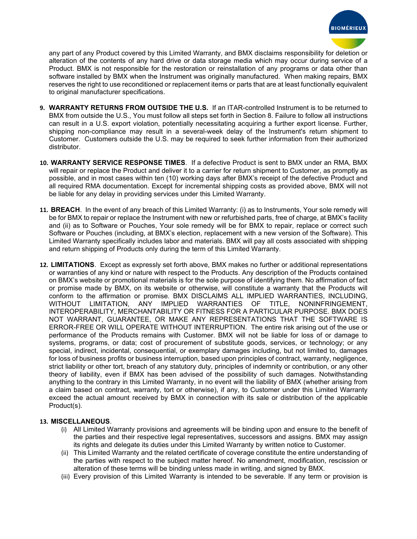

any part of any Product covered by this Limited Warranty, and BMX disclaims responsibility for deletion or alteration of the contents of any hard drive or data storage media which may occur during service of a Product. BMX is not responsible for the restoration or reinstallation of any programs or data other than software installed by BMX when the Instrument was originally manufactured. When making repairs, BMX reserves the right to use reconditioned or replacement items or parts that are at least functionally equivalent to original manufacturer specifications.

- **9. WARRANTY RETURNS FROM OUTSIDE THE U.S.** If an ITAR-controlled Instrument is to be returned to BMX from outside the U.S., You must follow all steps set forth in Section 8. Failure to follow all instructions can result in a U.S. export violation, potentially necessitating acquiring a further export license. Further, shipping non-compliance may result in a several-week delay of the Instrument's return shipment to Customer. Customers outside the U.S. may be required to seek further information from their authorized distributor.
- **10. WARRANTY SERVICE RESPONSE TIMES**. If a defective Product is sent to BMX under an RMA, BMX will repair or replace the Product and deliver it to a carrier for return shipment to Customer, as promptly as possible, and in most cases within ten (10) working days after BMX's receipt of the defective Product and all required RMA documentation. Except for incremental shipping costs as provided above, BMX will not be liable for any delay in providing services under this Limited Warranty.
- **11. BREACH**.In the event of any breach of this Limited Warranty: (i) as to Instruments, Your sole remedy will be for BMX to repair or replace the Instrument with new or refurbished parts, free of charge, at BMX's facility and (ii) as to Software or Pouches, Your sole remedy will be for BMX to repair, replace or correct such Software or Pouches (including, at BMX's election, replacement with a new version of the Software). This Limited Warranty specifically includes labor and materials. BMX will pay all costs associated with shipping and return shipping of Products only during the term of this Limited Warranty.
- **12. LIMITATIONS**. Except as expressly set forth above, BMX makes no further or additional representations or warranties of any kind or nature with respect to the Products. Any description of the Products contained on BMX's website or promotional materials is for the sole purpose of identifying them. No affirmation of fact or promise made by BMX, on its website or otherwise, will constitute a warranty that the Products will conform to the affirmation or promise. BMX DISCLAIMS ALL IMPLIED WARRANTIES, INCLUDING, WITHOUT LIMITATION, ANY IMPLIED WARRANTIES OF TITLE, NONINFRINGEMENT, INTEROPERABILITY, MERCHANTABILITY OR FITNESS FOR A PARTICULAR PURPOSE. BMX DOES NOT WARRANT, GUARANTEE, OR MAKE ANY REPRESENTATIONS THAT THE SOFTWARE IS ERROR-FREE OR WILL OPERATE WITHOUT INTERRUPTION. The entire risk arising out of the use or performance of the Products remains with Customer. BMX will not be liable for loss of or damage to systems, programs, or data; cost of procurement of substitute goods, services, or technology; or any special, indirect, incidental, consequential, or exemplary damages including, but not limited to, damages for loss of business profits or business interruption, based upon principles of contract, warranty, negligence, strict liability or other tort, breach of any statutory duty, principles of indemnity or contribution, or any other theory of liability, even if BMX has been advised of the possibility of such damages. Notwithstanding anything to the contrary in this Limited Warranty, in no event will the liability of BMX (whether arising from a claim based on contract, warranty, tort or otherwise), if any, to Customer under this Limited Warranty exceed the actual amount received by BMX in connection with its sale or distribution of the applicable Product(s).

## **13. MISCELLANEOUS**.

- (i) All Limited Warranty provisions and agreements will be binding upon and ensure to the benefit of the parties and their respective legal representatives, successors and assigns. BMX may assign its rights and delegate its duties under this Limited Warranty by written notice to Customer.
- (ii) This Limited Warranty and the related certificate of coverage constitute the entire understanding of the parties with respect to the subject matter hereof. No amendment, modification, rescission or alteration of these terms will be binding unless made in writing, and signed by BMX.
- (iii) Every provision of this Limited Warranty is intended to be severable. If any term or provision is